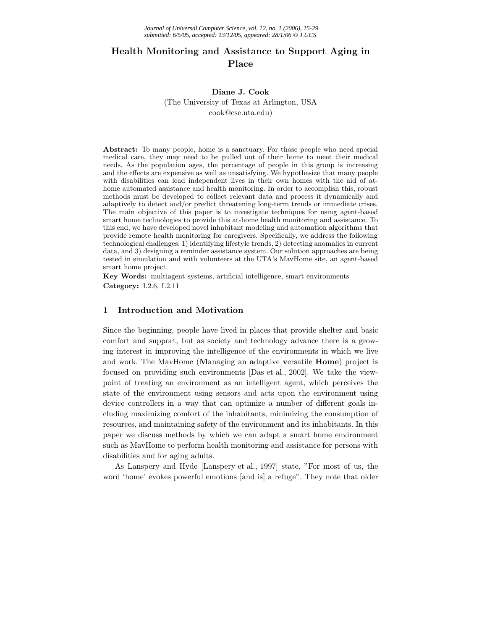# **Health Monitoring and Assistance to Support Aging in Place**

## **Diane J. Cook** (The University of Texas at Arlington, USA cook@cse.uta.edu)

**Abstract:** To many people, home is a sanctuary. For those people who need special medical care, they may need to be pulled out of their home to meet their medical needs. As the population ages, the percentage of people in this group is increasing and the effects are expensive as well as unsatisfying. We hypothesize that many people with disabilities can lead independent lives in their own homes with the aid of athome automated assistance and health monitoring. In order to accomplish this, robust methods must be developed to collect relevant data and process it dynamically and adaptively to detect and/or predict threatening long-term trends or immediate crises. The main objective of this paper is to investigate techniques for using agent-based smart home technologies to provide this at-home health monitoring and assistance. To this end, we have developed novel inhabitant modeling and automation algorithms that provide remote health monitoring for caregivers. Specifically, we address the following technological challenges: 1) identifying lifestyle trends, 2) detecting anomalies in current data, and 3) designing a reminder assistance system. Our solution approaches are being tested in simulation and with volunteers at the UTA's MavHome site, an agent-based smart home project.

**Key Words:** multiagent systems, artificial intelligence, smart environments **Category:** I.2.6, I.2.11

## **1 Introduction and Motivation**

Since the beginning, people have lived in places that provide shelter and basic comfort and support, but as society and technology advance there is a growing interest in improving the intelligence of the environments in which we live and work. The MavHome (**M**anaging an **a**daptive **v**ersatile **Home**) project is focused on providing such environments [Das et al., 2002]. We take the viewpoint of treating an environment as an intelligent agent, which perceives the state of the environment using sensors and acts upon the environment using device controllers in a way that can optimize a number of different goals including maximizing comfort of the inhabitants, minimizing the consumption of resources, and maintaining safety of the environment and its inhabitants. In this paper we discuss methods by which we can adapt a smart home environment such as MavHome to perform health monitoring and assistance for persons with disabilities and for aging adults.

As Lanspery and Hyde [Lanspery et al., 1997] state, "For most of us, the word 'home' evokes powerful emotions [and is] a refuge". They note that older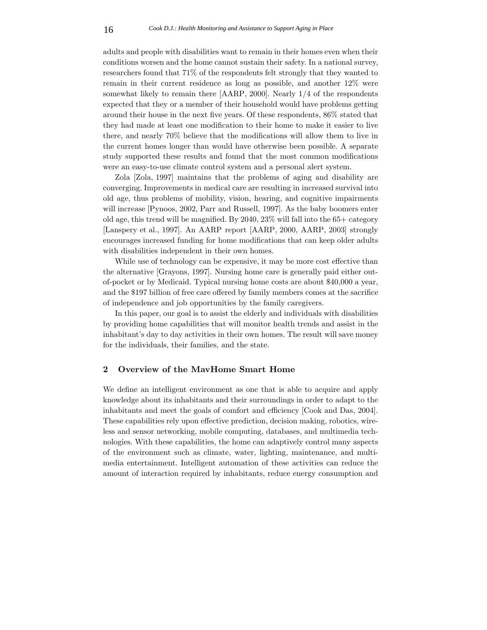adults and people with disabilities want to remain in their homes even when their conditions worsen and the home cannot sustain their safety. In a national survey, researchers found that 71% of the respondents felt strongly that they wanted to remain in their current residence as long as possible, and another 12% were somewhat likely to remain there [AARP, 2000]. Nearly 1/4 of the respondents expected that they or a member of their household would have problems getting around their house in the next five years. Of these respondents, 86% stated that they had made at least one modification to their home to make it easier to live there, and nearly 70% believe that the modifications will allow them to live in the current homes longer than would have otherwise been possible. A separate study supported these results and found that the most common modifications were an easy-to-use climate control system and a personal alert system.

Zola [Zola, 1997] maintains that the problems of aging and disability are converging. Improvements in medical care are resulting in increased survival into old age, thus problems of mobility, vision, hearing, and cognitive impairments will increase [Pynoos, 2002, Parr and Russell, 1997]. As the baby boomers enter old age, this trend will be magnified. By 2040, 23% will fall into the 65+ category [Lanspery et al., 1997]. An AARP report [AARP, 2000, AARP, 2003] strongly encourages increased funding for home modifications that can keep older adults with disabilities independent in their own homes.

While use of technology can be expensive, it may be more cost effective than the alternative [Grayons, 1997]. Nursing home care is generally paid either outof-pocket or by Medicaid. Typical nursing home costs are about \$40,000 a year, and the \$197 billion of free care offered by family members comes at the sacrifice of independence and job opportunities by the family caregivers.

In this paper, our goal is to assist the elderly and individuals with disabilities by providing home capabilities that will monitor health trends and assist in the inhabitant's day to day activities in their own homes. The result will save money for the individuals, their families, and the state.

#### **2 Overview of the MavHome Smart Home**

We define an intelligent environment as one that is able to acquire and apply knowledge about its inhabitants and their surroundings in order to adapt to the inhabitants and meet the goals of comfort and efficiency [Cook and Das, 2004]. These capabilities rely upon effective prediction, decision making, robotics, wireless and sensor networking, mobile computing, databases, and multimedia technologies. With these capabilities, the home can adaptively control many aspects of the environment such as climate, water, lighting, maintenance, and multimedia entertainment. Intelligent automation of these activities can reduce the amount of interaction required by inhabitants, reduce energy consumption and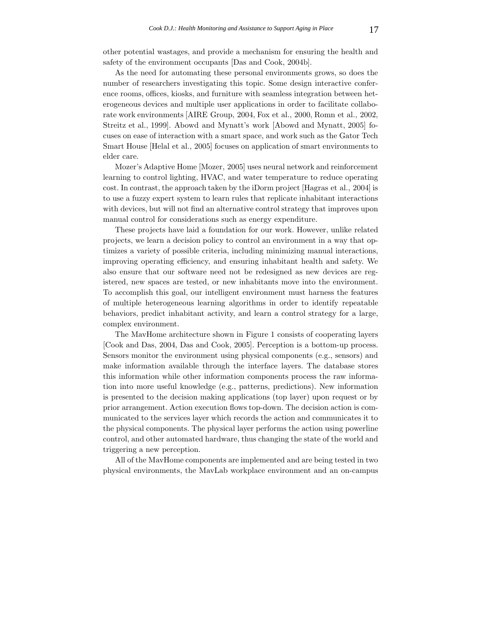other potential wastages, and provide a mechanism for ensuring the health and safety of the environment occupants [Das and Cook, 2004b].

As the need for automating these personal environments grows, so does the number of researchers investigating this topic. Some design interactive conference rooms, offices, kiosks, and furniture with seamless integration between heterogeneous devices and multiple user applications in order to facilitate collaborate work environments [AIRE Group, 2004, Fox et al., 2000, Romn et al., 2002, Streitz et al., 1999]. Abowd and Mynatt's work [Abowd and Mynatt, 2005] focuses on ease of interaction with a smart space, and work such as the Gator Tech Smart House [Helal et al., 2005] focuses on application of smart environments to elder care.

Mozer's Adaptive Home [Mozer, 2005] uses neural network and reinforcement learning to control lighting, HVAC, and water temperature to reduce operating cost. In contrast, the approach taken by the iDorm project [Hagras et al., 2004] is to use a fuzzy expert system to learn rules that replicate inhabitant interactions with devices, but will not find an alternative control strategy that improves upon manual control for considerations such as energy expenditure.

These projects have laid a foundation for our work. However, unlike related projects, we learn a decision policy to control an environment in a way that optimizes a variety of possible criteria, including minimizing manual interactions, improving operating efficiency, and ensuring inhabitant health and safety. We also ensure that our software need not be redesigned as new devices are registered, new spaces are tested, or new inhabitants move into the environment. To accomplish this goal, our intelligent environment must harness the features of multiple heterogeneous learning algorithms in order to identify repeatable behaviors, predict inhabitant activity, and learn a control strategy for a large, complex environment.

The MavHome architecture shown in Figure 1 consists of cooperating layers [Cook and Das, 2004, Das and Cook, 2005]. Perception is a bottom-up process. Sensors monitor the environment using physical components (e.g., sensors) and make information available through the interface layers. The database stores this information while other information components process the raw information into more useful knowledge (e.g., patterns, predictions). New information is presented to the decision making applications (top layer) upon request or by prior arrangement. Action execution flows top-down. The decision action is communicated to the services layer which records the action and communicates it to the physical components. The physical layer performs the action using powerline control, and other automated hardware, thus changing the state of the world and triggering a new perception.

All of the MavHome components are implemented and are being tested in two physical environments, the MavLab workplace environment and an on-campus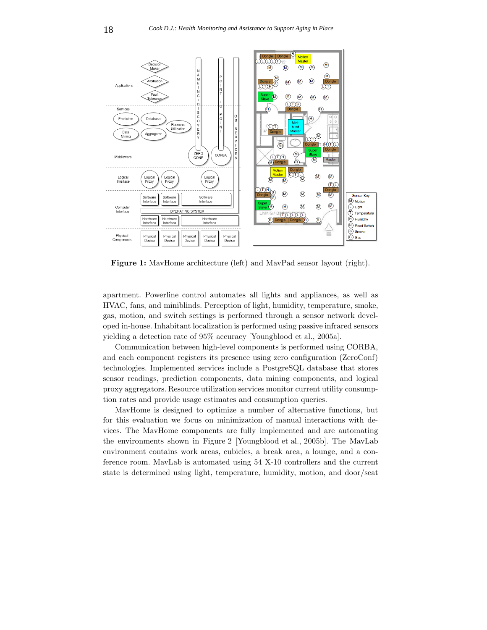

**Figure 1:** MavHome architecture (left) and MavPad sensor layout (right).

apartment. Powerline control automates all lights and appliances, as well as HVAC, fans, and miniblinds. Perception of light, humidity, temperature, smoke, gas, motion, and switch settings is performed through a sensor network developed in-house. Inhabitant localization is performed using passive infrared sensors yielding a detection rate of 95% accuracy [Youngblood et al., 2005a].

Communication between high-level components is performed using CORBA, and each component registers its presence using zero configuration (ZeroConf) technologies. Implemented services include a PostgreSQL database that stores sensor readings, prediction components, data mining components, and logical proxy aggregators. Resource utilization services monitor current utility consumption rates and provide usage estimates and consumption queries.

MavHome is designed to optimize a number of alternative functions, but for this evaluation we focus on minimization of manual interactions with devices. The MavHome components are fully implemented and are automating the environments shown in Figure 2 [Youngblood et al., 2005b]. The MavLab environment contains work areas, cubicles, a break area, a lounge, and a conference room. MavLab is automated using 54 X-10 controllers and the current state is determined using light, temperature, humidity, motion, and door/seat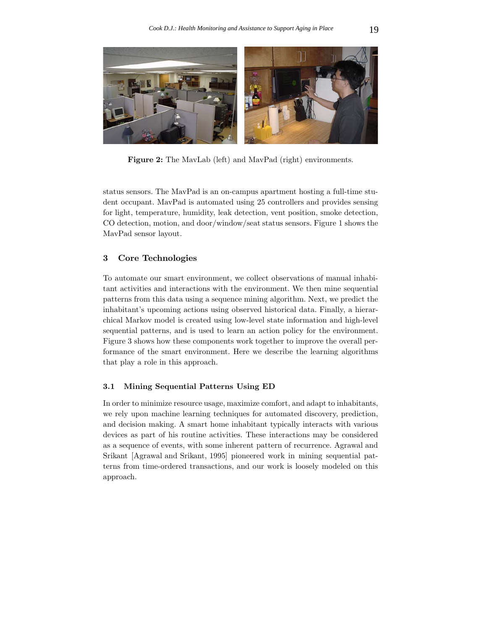

**Figure 2:** The MavLab (left) and MavPad (right) environments.

status sensors. The MavPad is an on-campus apartment hosting a full-time student occupant. MavPad is automated using 25 controllers and provides sensing for light, temperature, humidity, leak detection, vent position, smoke detection, CO detection, motion, and door/window/seat status sensors. Figure 1 shows the MavPad sensor layout.

## **3 Core Technologies**

To automate our smart environment, we collect observations of manual inhabitant activities and interactions with the environment. We then mine sequential patterns from this data using a sequence mining algorithm. Next, we predict the inhabitant's upcoming actions using observed historical data. Finally, a hierarchical Markov model is created using low-level state information and high-level sequential patterns, and is used to learn an action policy for the environment. Figure 3 shows how these components work together to improve the overall performance of the smart environment. Here we describe the learning algorithms that play a role in this approach.

#### **3.1 Mining Sequential Patterns Using ED**

In order to minimize resource usage, maximize comfort, and adapt to inhabitants, we rely upon machine learning techniques for automated discovery, prediction, and decision making. A smart home inhabitant typically interacts with various devices as part of his routine activities. These interactions may be considered as a sequence of events, with some inherent pattern of recurrence. Agrawal and Srikant [Agrawal and Srikant, 1995] pioneered work in mining sequential patterns from time-ordered transactions, and our work is loosely modeled on this approach.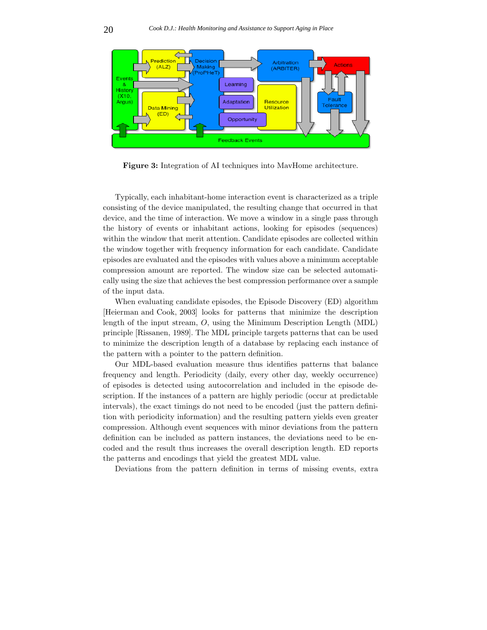

**Figure 3:** Integration of AI techniques into MavHome architecture.

Typically, each inhabitant-home interaction event is characterized as a triple consisting of the device manipulated, the resulting change that occurred in that device, and the time of interaction. We move a window in a single pass through the history of events or inhabitant actions, looking for episodes (sequences) within the window that merit attention. Candidate episodes are collected within the window together with frequency information for each candidate. Candidate episodes are evaluated and the episodes with values above a minimum acceptable compression amount are reported. The window size can be selected automatically using the size that achieves the best compression performance over a sample of the input data.

When evaluating candidate episodes, the Episode Discovery (ED) algorithm [Heierman and Cook, 2003] looks for patterns that minimize the description length of the input stream, *O*, using the Minimum Description Length (MDL) principle [Rissanen, 1989]. The MDL principle targets patterns that can be used to minimize the description length of a database by replacing each instance of the pattern with a pointer to the pattern definition.

Our MDL-based evaluation measure thus identifies patterns that balance frequency and length. Periodicity (daily, every other day, weekly occurrence) of episodes is detected using autocorrelation and included in the episode description. If the instances of a pattern are highly periodic (occur at predictable intervals), the exact timings do not need to be encoded (just the pattern definition with periodicity information) and the resulting pattern yields even greater compression. Although event sequences with minor deviations from the pattern definition can be included as pattern instances, the deviations need to be encoded and the result thus increases the overall description length. ED reports the patterns and encodings that yield the greatest MDL value.

Deviations from the pattern definition in terms of missing events, extra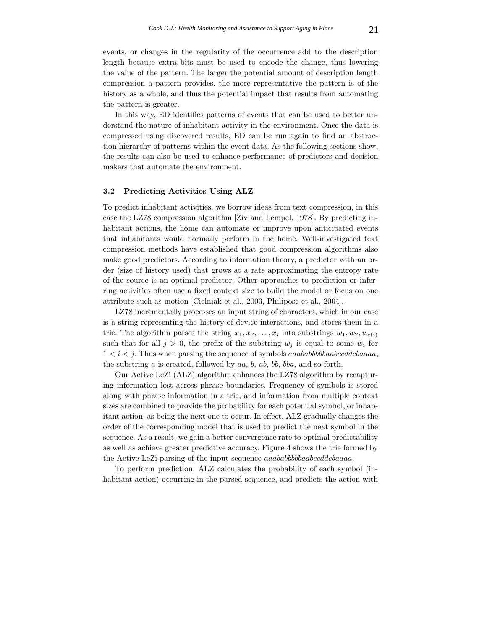events, or changes in the regularity of the occurrence add to the description length because extra bits must be used to encode the change, thus lowering the value of the pattern. The larger the potential amount of description length compression a pattern provides, the more representative the pattern is of the history as a whole, and thus the potential impact that results from automating the pattern is greater.

In this way, ED identifies patterns of events that can be used to better understand the nature of inhabitant activity in the environment. Once the data is compressed using discovered results, ED can be run again to find an abstraction hierarchy of patterns within the event data. As the following sections show, the results can also be used to enhance performance of predictors and decision makers that automate the environment.

## **3.2 Predicting Activities Using ALZ**

To predict inhabitant activities, we borrow ideas from text compression, in this case the LZ78 compression algorithm [Ziv and Lempel, 1978]. By predicting inhabitant actions, the home can automate or improve upon anticipated events that inhabitants would normally perform in the home. Well-investigated text compression methods have established that good compression algorithms also make good predictors. According to information theory, a predictor with an order (size of history used) that grows at a rate approximating the entropy rate of the source is an optimal predictor. Other approaches to prediction or inferring activities often use a fixed context size to build the model or focus on one attribute such as motion [Cielniak et al., 2003, Philipose et al., 2004].

LZ78 incrementally processes an input string of characters, which in our case is a string representing the history of device interactions, and stores them in a trie. The algorithm parses the string  $x_1, x_2, \ldots, x_i$  into substrings  $w_1, w_2, w_{c(i)}$ such that for all  $j > 0$ , the prefix of the substring  $w_j$  is equal to some  $w_i$  for  $1 < i < j$ . Thus when parsing the sequence of symbols *aaababbbbbaabccddcbaaaa*, the substring *a* is created, followed by *aa*, *b*, *ab*, *bb*, *bba*, and so forth.

Our Active LeZi (ALZ) algorithm enhances the LZ78 algorithm by recapturing information lost across phrase boundaries. Frequency of symbols is stored along with phrase information in a trie, and information from multiple context sizes are combined to provide the probability for each potential symbol, or inhabitant action, as being the next one to occur. In effect, ALZ gradually changes the order of the corresponding model that is used to predict the next symbol in the sequence. As a result, we gain a better convergence rate to optimal predictability as well as achieve greater predictive accuracy. Figure 4 shows the trie formed by the Active-LeZi parsing of the input sequence *aaababbbbbaabccddcbaaaa*.

To perform prediction, ALZ calculates the probability of each symbol (inhabitant action) occurring in the parsed sequence, and predicts the action with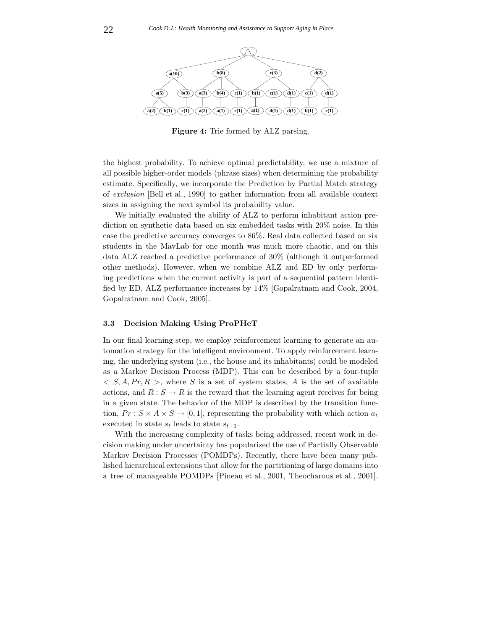

**Figure 4:** Trie formed by ALZ parsing.

the highest probability. To achieve optimal predictability, we use a mixture of all possible higher-order models (phrase sizes) when determining the probability estimate. Specifically, we incorporate the Prediction by Partial Match strategy of *exclusion* [Bell et al., 1990] to gather information from all available context sizes in assigning the next symbol its probability value.

We initially evaluated the ability of ALZ to perform inhabitant action prediction on synthetic data based on six embedded tasks with 20% noise. In this case the predictive accuracy converges to 86%. Real data collected based on six students in the MavLab for one month was much more chaotic, and on this data ALZ reached a predictive performance of 30% (although it outperformed other methods). However, when we combine ALZ and ED by only performing predictions when the current activity is part of a sequential pattern identified by ED, ALZ performance increases by 14% [Gopalratnam and Cook, 2004, Gopalratnam and Cook, 2005].

## **3.3 Decision Making Using ProPHeT**

In our final learning step, we employ reinforcement learning to generate an automation strategy for the intelligent environment. To apply reinforcement learning, the underlying system (i.e., the house and its inhabitants) could be modeled as a Markov Decision Process (MDP). This can be described by a four-tuple  $\langle S, A, Pr, R \rangle$ , where *S* is a set of system states, *A* is the set of available actions, and  $R : S \to R$  is the reward that the learning agent receives for being in a given state. The behavior of the MDP is described by the transition function,  $Pr: S \times A \times S \rightarrow [0, 1]$ , representing the probability with which action  $a_t$ executed in state  $s_t$  leads to state  $s_{t+1}$ .

With the increasing complexity of tasks being addressed, recent work in decision making under uncertainty has popularized the use of Partially Observable Markov Decision Processes (POMDPs). Recently, there have been many published hierarchical extensions that allow for the partitioning of large domains into a tree of manageable POMDPs [Pineau et al., 2001, Theocharous et al., 2001].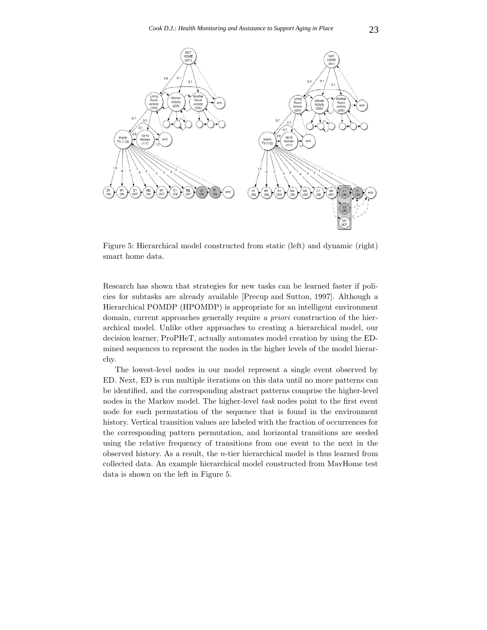

Figure 5: Hierarchical model constructed from static (left) and dynamic (right) smart home data.

Research has shown that strategies for new tasks can be learned faster if policies for subtasks are already available [Precup and Sutton, 1997]. Although a Hierarchical POMDP (HPOMDP) is appropriate for an intelligent environment domain, current approaches generally require *a priori* construction of the hierarchical model. Unlike other approaches to creating a hierarchical model, our decision learner, ProPHeT, actually automates model creation by using the EDmined sequences to represent the nodes in the higher levels of the model hierarchy.

The lowest-level nodes in our model represent a single event observed by ED. Next, ED is run multiple iterations on this data until no more patterns can be identified, and the corresponding abstract patterns comprise the higher-level nodes in the Markov model. The higher-level *task* nodes point to the first event node for each permutation of the sequence that is found in the environment history. Vertical transition values are labeled with the fraction of occurrences for the corresponding pattern permutation, and horizontal transitions are seeded using the relative frequency of transitions from one event to the next in the observed history. As a result, the *n*-tier hierarchical model is thus learned from collected data. An example hierarchical model constructed from MavHome test data is shown on the left in Figure 5.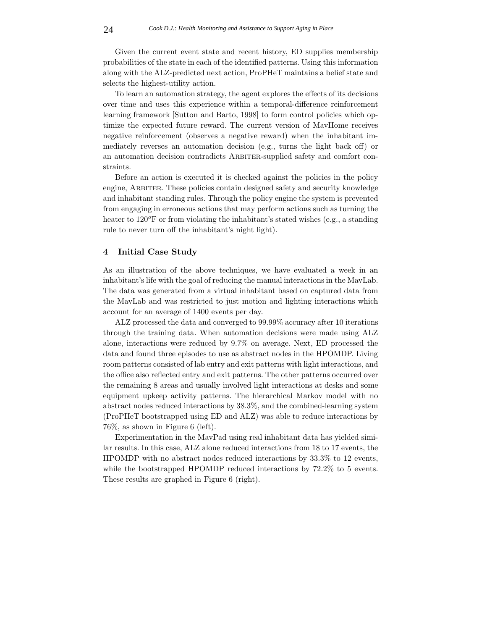Given the current event state and recent history, ED supplies membership probabilities of the state in each of the identified patterns. Using this information along with the ALZ-predicted next action, ProPHeT maintains a belief state and selects the highest-utility action.

To learn an automation strategy, the agent explores the effects of its decisions over time and uses this experience within a temporal-difference reinforcement learning framework [Sutton and Barto, 1998] to form control policies which optimize the expected future reward. The current version of MavHome receives negative reinforcement (observes a negative reward) when the inhabitant immediately reverses an automation decision (e.g., turns the light back off) or an automation decision contradicts ARBITER-supplied safety and comfort constraints.

Before an action is executed it is checked against the policies in the policy engine, ARBITER. These policies contain designed safety and security knowledge and inhabitant standing rules. Through the policy engine the system is prevented from engaging in erroneous actions that may perform actions such as turning the heater to 120<sup>o</sup>F or from violating the inhabitant's stated wishes (e.g., a standing rule to never turn off the inhabitant's night light).

## **4 Initial Case Study**

As an illustration of the above techniques, we have evaluated a week in an inhabitant's life with the goal of reducing the manual interactions in the MavLab. The data was generated from a virtual inhabitant based on captured data from the MavLab and was restricted to just motion and lighting interactions which account for an average of 1400 events per day.

ALZ processed the data and converged to 99.99% accuracy after 10 iterations through the training data. When automation decisions were made using ALZ alone, interactions were reduced by 9.7% on average. Next, ED processed the data and found three episodes to use as abstract nodes in the HPOMDP. Living room patterns consisted of lab entry and exit patterns with light interactions, and the office also reflected entry and exit patterns. The other patterns occurred over the remaining 8 areas and usually involved light interactions at desks and some equipment upkeep activity patterns. The hierarchical Markov model with no abstract nodes reduced interactions by 38.3%, and the combined-learning system (ProPHeT bootstrapped using ED and ALZ) was able to reduce interactions by 76%, as shown in Figure 6 (left).

Experimentation in the MavPad using real inhabitant data has yielded similar results. In this case, ALZ alone reduced interactions from 18 to 17 events, the HPOMDP with no abstract nodes reduced interactions by 33.3% to 12 events, while the bootstrapped HPOMDP reduced interactions by 72.2% to 5 events. These results are graphed in Figure 6 (right).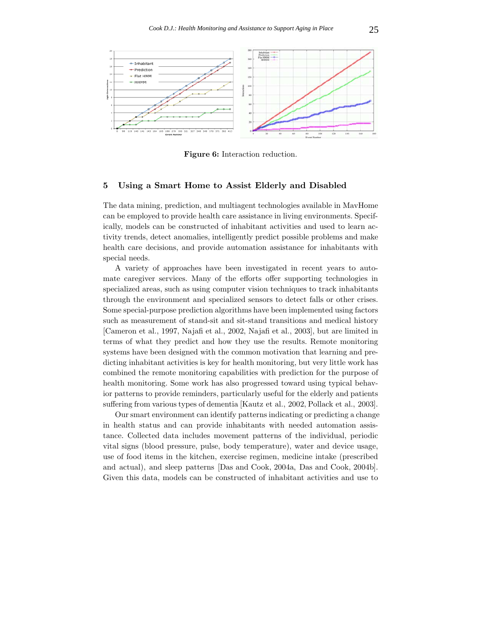

**Figure 6:** Interaction reduction.

#### **5 Using a Smart Home to Assist Elderly and Disabled**

The data mining, prediction, and multiagent technologies available in MavHome can be employed to provide health care assistance in living environments. Specifically, models can be constructed of inhabitant activities and used to learn activity trends, detect anomalies, intelligently predict possible problems and make health care decisions, and provide automation assistance for inhabitants with special needs.

A variety of approaches have been investigated in recent years to automate caregiver services. Many of the efforts offer supporting technologies in specialized areas, such as using computer vision techniques to track inhabitants through the environment and specialized sensors to detect falls or other crises. Some special-purpose prediction algorithms have been implemented using factors such as measurement of stand-sit and sit-stand transitions and medical history [Cameron et al., 1997, Najafi et al., 2002, Najafi et al., 2003], but are limited in terms of what they predict and how they use the results. Remote monitoring systems have been designed with the common motivation that learning and predicting inhabitant activities is key for health monitoring, but very little work has combined the remote monitoring capabilities with prediction for the purpose of health monitoring. Some work has also progressed toward using typical behavior patterns to provide reminders, particularly useful for the elderly and patients suffering from various types of dementia [Kautz et al., 2002, Pollack et al., 2003].

Our smart environment can identify patterns indicating or predicting a change in health status and can provide inhabitants with needed automation assistance. Collected data includes movement patterns of the individual, periodic vital signs (blood pressure, pulse, body temperature), water and device usage, use of food items in the kitchen, exercise regimen, medicine intake (prescribed and actual), and sleep patterns [Das and Cook, 2004a, Das and Cook, 2004b]. Given this data, models can be constructed of inhabitant activities and use to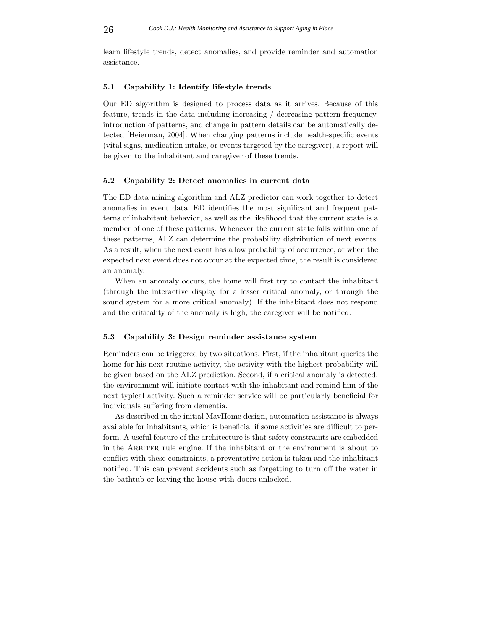learn lifestyle trends, detect anomalies, and provide reminder and automation assistance.

## **5.1 Capability 1: Identify lifestyle trends**

Our ED algorithm is designed to process data as it arrives. Because of this feature, trends in the data including increasing / decreasing pattern frequency, introduction of patterns, and change in pattern details can be automatically detected [Heierman, 2004]. When changing patterns include health-specific events (vital signs, medication intake, or events targeted by the caregiver), a report will be given to the inhabitant and caregiver of these trends.

#### **5.2 Capability 2: Detect anomalies in current data**

The ED data mining algorithm and ALZ predictor can work together to detect anomalies in event data. ED identifies the most significant and frequent patterns of inhabitant behavior, as well as the likelihood that the current state is a member of one of these patterns. Whenever the current state falls within one of these patterns, ALZ can determine the probability distribution of next events. As a result, when the next event has a low probability of occurrence, or when the expected next event does not occur at the expected time, the result is considered an anomaly.

When an anomaly occurs, the home will first try to contact the inhabitant (through the interactive display for a lesser critical anomaly, or through the sound system for a more critical anomaly). If the inhabitant does not respond and the criticality of the anomaly is high, the caregiver will be notified.

#### **5.3 Capability 3: Design reminder assistance system**

Reminders can be triggered by two situations. First, if the inhabitant queries the home for his next routine activity, the activity with the highest probability will be given based on the ALZ prediction. Second, if a critical anomaly is detected, the environment will initiate contact with the inhabitant and remind him of the next typical activity. Such a reminder service will be particularly beneficial for individuals suffering from dementia.

As described in the initial MavHome design, automation assistance is always available for inhabitants, which is beneficial if some activities are difficult to perform. A useful feature of the architecture is that safety constraints are embedded in the ARBITER rule engine. If the inhabitant or the environment is about to conflict with these constraints, a preventative action is taken and the inhabitant notified. This can prevent accidents such as forgetting to turn off the water in the bathtub or leaving the house with doors unlocked.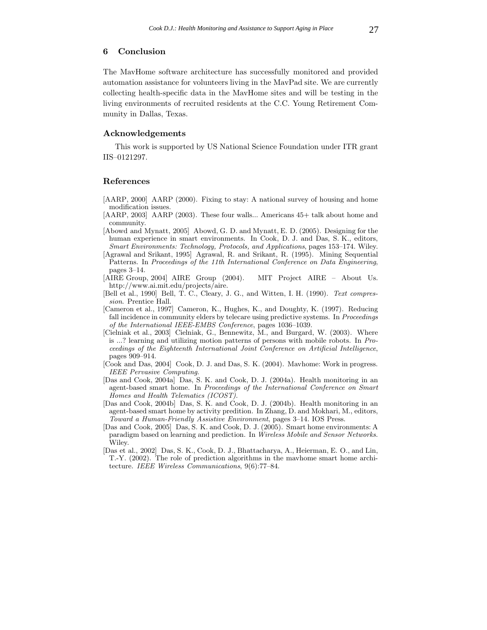## **6 Conclusion**

The MavHome software architecture has successfully monitored and provided automation assistance for volunteers living in the MavPad site. We are currently collecting health-specific data in the MavHome sites and will be testing in the living environments of recruited residents at the C.C. Young Retirement Community in Dallas, Texas.

#### **Acknowledgements**

This work is supported by US National Science Foundation under ITR grant IIS–0121297.

#### **References**

- [AARP, 2000] AARP (2000). Fixing to stay: A national survey of housing and home modification issues.
- [AARP, 2003] AARP (2003). These four walls... Americans  $45+$  talk about home and community.
- [Abowd and Mynatt, 2005] Abowd, G. D. and Mynatt, E. D. (2005). Designing for the human experience in smart environments. In Cook, D. J. and Das, S. K., editors, *Smart Environments: Technology, Protocols, and Applications*, pages 153–174. Wiley.
- [Agrawal and Srikant, 1995] Agrawal, R. and Srikant, R. (1995). Mining Sequential Patterns. In *Proceedings of the 11th International Conference on Data Engineering*, pages 3–14.
- [AIRE Group, 2004] AIRE Group (2004). MIT Project AIRE About Us. http://www.ai.mit.edu/projects/aire.
- [Bell et al., 1990] Bell, T. C., Cleary, J. G., and Witten, I. H. (1990). *Text compression*. Prentice Hall.
- [Cameron et al., 1997] Cameron, K., Hughes, K., and Doughty, K. (1997). Reducing fall incidence in community elders by telecare using predictive systems. In *Proceedings of the International IEEE-EMBS Conference*, pages 1036–1039.
- [Cielniak et al., 2003] Cielniak, G., Bennewitz, M., and Burgard, W. (2003). Where is ...? learning and utilizing motion patterns of persons with mobile robots. In *Proceedings of the Eighteenth International Joint Conference on Artificial Intelligence*, pages 909–914.
- [Cook and Das, 2004] Cook, D. J. and Das, S. K. (2004). Mavhome: Work in progress. *IEEE Pervasive Computing*.
- [Das and Cook, 2004a] Das, S. K. and Cook, D. J. (2004a). Health monitoring in an agent-based smart home. In *Proceedings of the International Conference on Smart Homes and Health Telematics (ICOST)*.
- [Das and Cook, 2004b] Das, S. K. and Cook, D. J. (2004b). Health monitoring in an agent-based smart home by activity predition. In Zhang, D. and Mokhari, M., editors, *Toward a Human-Friendly Assistive Environment*, pages 3–14. IOS Press.
- [Das and Cook, 2005] Das, S. K. and Cook, D. J. (2005). Smart home environments: A paradigm based on learning and prediction. In *Wireless Mobile and Sensor Networks*. Wiley.
- [Das et al., 2002] Das, S. K., Cook, D. J., Bhattacharya, A., Heierman, E. O., and Lin, T.-Y. (2002). The role of prediction algorithms in the mavhome smart home architecture. *IEEE Wireless Communications*, 9(6):77–84.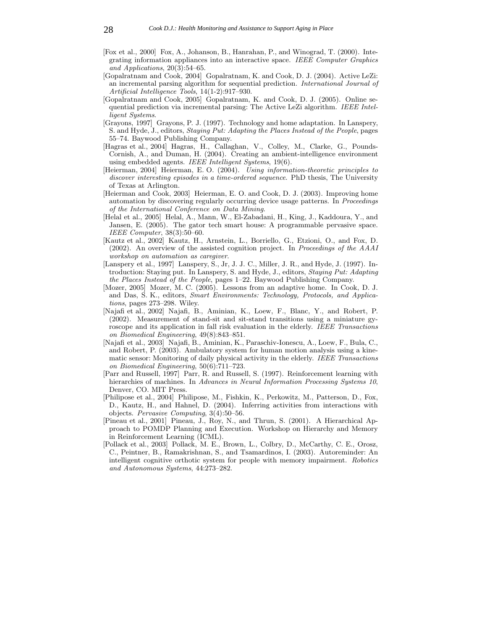- [Fox et al., 2000] Fox, A., Johanson, B., Hanrahan, P., and Winograd, T. (2000). Integrating information appliances into an interactive space. *IEEE Computer Graphics and Applications*, 20(3):54–65.
- [Gopalratnam and Cook, 2004] Gopalratnam, K. and Cook, D. J. (2004). Active LeZi: an incremental parsing algorithm for sequential prediction. *International Journal of Artificial Intelligence Tools*, 14(1-2):917–930.
- [Gopalratnam and Cook, 2005] Gopalratnam, K. and Cook, D. J. (2005). Online sequential prediction via incremental parsing: The Active LeZi algorithm. *IEEE Intelligent Systems*.
- [Grayons, 1997] Grayons, P. J. (1997). Technology and home adaptation. In Lanspery, S. and Hyde, J., editors, *Staying Put: Adapting the Places Instead of the People*, pages 55–74. Baywood Publishing Company.
- [Hagras et al., 2004] Hagras, H., Callaghan, V., Colley, M., Clarke, G., Pounds-Cornish, A., and Duman, H. (2004). Creating an ambient-intelligence environment using embedded agents. *IEEE Intelligent Systems*, 19(6).
- [Heierman, 2004] Heierman, E. O. (2004). *Using information-theoretic principles to discover interesting episodes in a time-ordered sequence*. PhD thesis, The University of Texas at Arlington.
- [Heierman and Cook, 2003] Heierman, E. O. and Cook, D. J. (2003). Improving home automation by discovering regularly occurring device usage patterns. In *Proceedings of the International Conference on Data Mining*.
- [Helal et al., 2005] Helal, A., Mann, W., El-Zabadani, H., King, J., Kaddoura, Y., and Jansen, E. (2005). The gator tech smart house: A programmable pervasive space. *IEEE Computer*, 38(3):50–60.
- [Kautz et al., 2002] Kautz, H., Arnstein, L., Borriello, G., Etzioni, O., and Fox, D. (2002). An overview of the assisted cognition project. In *Proceedings of the AAAI workshop on automation as caregiver*.
- [Lanspery et al., 1997] Lanspery, S., Jr, J. J. C., Miller, J. R., and Hyde, J. (1997). Introduction: Staying put. In Lanspery, S. and Hyde, J., editors, *Staying Put: Adapting the Places Instead of the People*, pages 1–22. Baywood Publishing Company.
- [Mozer, 2005] Mozer, M. C. (2005). Lessons from an adaptive home. In Cook, D. J. and Das, S. K., editors, *Smart Environments: Technology, Protocols, and Applications*, pages 273–298. Wiley.
- [Najafi et al., 2002] Najafi, B., Aminian, K., Loew, F., Blanc, Y., and Robert, P. (2002). Measurement of stand-sit and sit-stand transitions using a miniature gyroscope and its application in fall risk evaluation in the elderly. *IEEE Transactions on Biomedical Engineering*, 49(8):843–851.
- [Najafi et al., 2003] Najafi, B., Aminian, K., Paraschiv-Ionescu, A., Loew, F., Bula, C., and Robert, P. (2003). Ambulatory system for human motion analysis using a kinematic sensor: Monitoring of daily physical activity in the elderly. *IEEE Transactions on Biomedical Engineering*, 50(6):711–723.
- [Parr and Russell, 1997] Parr, R. and Russell, S. (1997). Reinforcement learning with hierarchies of machines. In *Advances in Neural Information Processing Systems 10*, Denver, CO. MIT Press.
- [Philipose et al., 2004] Philipose, M., Fishkin, K., Perkowitz, M., Patterson, D., Fox, D., Kautz, H., and Hahnel, D. (2004). Inferring activities from interactions with objects. *Pervasive Computing*, 3(4):50–56.
- [Pineau et al., 2001] Pineau, J., Roy, N., and Thrun, S. (2001). A Hierarchical Approach to POMDP Planning and Execution. Workshop on Hierarchy and Memory in Reinforcement Learning (ICML).
- [Pollack et al., 2003] Pollack, M. E., Brown, L., Colbry, D., McCarthy, C. E., Orosz, C., Peintner, B., Ramakrishnan, S., and Tsamardinos, I. (2003). Autoreminder: An intelligent cognitive orthotic system for people with memory impairment. *Robotics and Autonomous Systems*, 44:273–282.